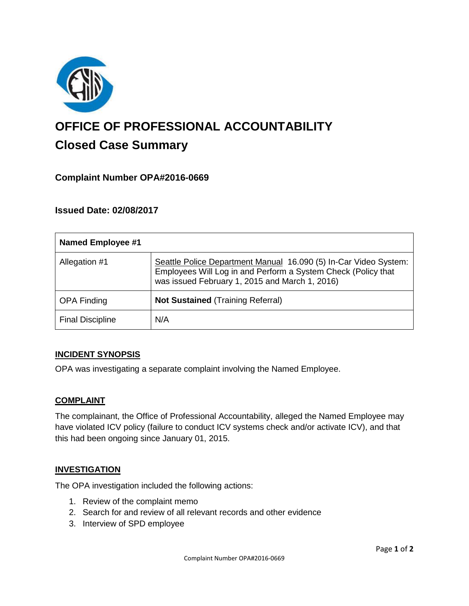

# **OFFICE OF PROFESSIONAL ACCOUNTABILITY Closed Case Summary**

# **Complaint Number OPA#2016-0669**

## **Issued Date: 02/08/2017**

| <b>Named Employee #1</b> |                                                                                                                                                                                     |
|--------------------------|-------------------------------------------------------------------------------------------------------------------------------------------------------------------------------------|
| Allegation #1            | Seattle Police Department Manual 16.090 (5) In-Car Video System:<br>Employees Will Log in and Perform a System Check (Policy that<br>was issued February 1, 2015 and March 1, 2016) |
| <b>OPA Finding</b>       | <b>Not Sustained (Training Referral)</b>                                                                                                                                            |
| <b>Final Discipline</b>  | N/A                                                                                                                                                                                 |

#### **INCIDENT SYNOPSIS**

OPA was investigating a separate complaint involving the Named Employee.

#### **COMPLAINT**

The complainant, the Office of Professional Accountability, alleged the Named Employee may have violated ICV policy (failure to conduct ICV systems check and/or activate ICV), and that this had been ongoing since January 01, 2015.

#### **INVESTIGATION**

The OPA investigation included the following actions:

- 1. Review of the complaint memo
- 2. Search for and review of all relevant records and other evidence
- 3. Interview of SPD employee